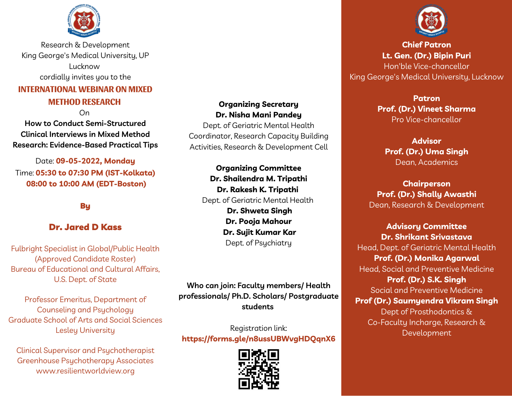

Research & Development King George's Medical University, UP Lucknow cordially invites you to the

# **INTERNATIONAL WEBINAR ON MIXED**

### **METHOD RESEARCH**

On

**How to Conduct Semi-Structured Clinical Interviews in Mixed Method Research: Evidence-Based Practical Tips**

Date: **09-05-2022, Monday** Time: **05:30 to 07:30 PM (IST-Kolkata) 08:00 to 10:00 AM (EDT-Boston)**

## **Bu**

#### Dr. Jared D Kass

Fulbright Specialist in Global/Public Health (Approved Candidate Roster) Bureau of Educational and Cultural Affairs, U.S. Dept. of State

Professor Emeritus, Department of Counseling and Psychology Graduate School of Arts and Social Sciences Lesley University

Clinical Supervisor and Psychotherapist Greenhouse Psychotherapy Associates www.resilientworldview.org

#### **Organizing Secretary Dr. Nisha Mani Pandey**

Dept. of Geriatric Mental Health Coordinator, Research Capacity Building Activities, Research & Development Cell

**Organizing Committee Dr. Shailendra M. Tripathi Dr. Rakesh K. Tripathi** Dept. of Geriatric Mental Health **Dr. Shweta Singh Dr. Pooja Mahour Dr. Sujit Kumar Kar** Dept. of Psychiatry

**Who can join: Faculty members/ Health professionals/ Ph.D. Scholars/ Postgraduate students**

Registration link: **https://forms.gle/n8ussUBWvgHDQqnX6**





**Chief Patron Lt. Gen. (Dr.) Bipin Puri** Hon'ble Vice-chancellor King George's Medical University, Lucknow

> **Patron Prof. (Dr.) Vineet Sharma** Pro Vice-chancellor

**Advisor Prof. (Dr.) Uma Singh** Dean, Academics

**Chairperson Prof. (Dr.) Shally Awasthi** Dean, Research & Development

**Advisory Committee Dr. Shrikant Srivastava** Head, Dept. of Geriatric Mental Health **Prof. (Dr.) Monika Agarwal** Head, Social and Preventive Medicine **Prof. (Dr.) S.K. Singh** Social and Preventive Medicine **Prof (Dr.) Saumyendra Vikram Singh** Dept of Prosthodontics & Co-Faculty Incharge, Research & Development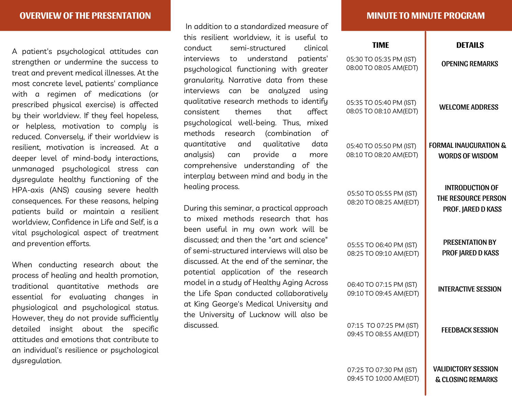A patient's psychological attitudes can strengthen or undermine the success to treat and prevent medical illnesses. At the most concrete level, patients' compliance with a regimen of medications (or prescribed physical exercise) is affected by their worldview. If they feel hopeless, or helpless, motivation to comply is reduced. Conversely, if their worldview is resilient, motivation is increased. At a deeper level of mind-body interactions, unmanaged psychological stress can dysregulate healthy functioning of the HPA-axis (ANS) causing severe health consequences. For these reasons, helping patients build or maintain a resilient worldview, Confidence in Life and Self, is a vital psychological aspect of treatment and prevention efforts.

When conducting research about the process of healing and health promotion, traditional quantitative methods are essential for evaluating changes in physiological and psychological status. However, they do not provide sufficiently detailed insight about the specific attitudes and emotions that contribute to an individual's resilience or psychological dysregulation.

In addition to a standardized measure of this resilient worldview, it is useful to conduct semi-structured clinical interviews to understand patients' psychological functioning with greater granularity. Narrative data from these interviews can be analyzed using qualitative research methods to identify consistent themes that affect psychological well-being. Thus, mixed methods research (combination of quantitative and qualitative data analysis) can provide a more comprehensive understanding of the interplay between mind and body in the healing process.

During this seminar, a practical approach to mixed methods research that has been useful in my own work will be discussed; and then the "art and science" of semi-structured interviews will also be discussed. At the end of the seminar, the potential application of the research model in a study of Healthy Aging Across the Life Span conducted collaboratively at King George's Medical University and the University of Lucknow will also be discussed.

| <b>DETAILS</b>                                                             | TIMF                                              |
|----------------------------------------------------------------------------|---------------------------------------------------|
| <b>OPENING REMARKS</b>                                                     | 05:30 TO 05:35 PM (IST)<br>08:00 TO 08:05 AM(EDT) |
| <b>WELCOME ADDRESS</b>                                                     | 05:35 TO 05:40 PM (IST)<br>08:05 TO 08:10 AM(EDT) |
| <b>FORMAL INAUGURATION &amp;</b><br><b>WORDS OF WISDOM</b>                 | 05:40 TO 05:50 PM (IST)<br>08:10 TO 08:20 AM(EDT) |
| <b>INTRODUCTION OF</b><br><b>THE RESOURCE PERSON</b><br>PROF. JARED D KASS | 05:50 TO 05:55 PM (IST)<br>08:20 TO 08:25 AM(EDT) |
| <b>PRESENTATION BY</b><br>PROF JARED D KASS                                | 05:55 TO 06:40 PM (IST)<br>08:25 TO 09:10 AM(EDT) |
| <b>INTERACTIVE SESSION</b>                                                 | 06:40 TO 07:15 PM (IST)<br>09:10 TO 09:45 AM(EDT) |
| <b>FEEDBACK SESSION</b>                                                    | 07:15 TO 07:25 PM (IST)<br>09:45 TO 08:55 AM(EDT) |
| <b>VALIDICTORY SESSION</b><br><b>&amp; CLOSING REMARKS</b>                 | 07:25 TO 07:30 PM (IST)<br>09:45 TO 10:00 AM(EDT) |